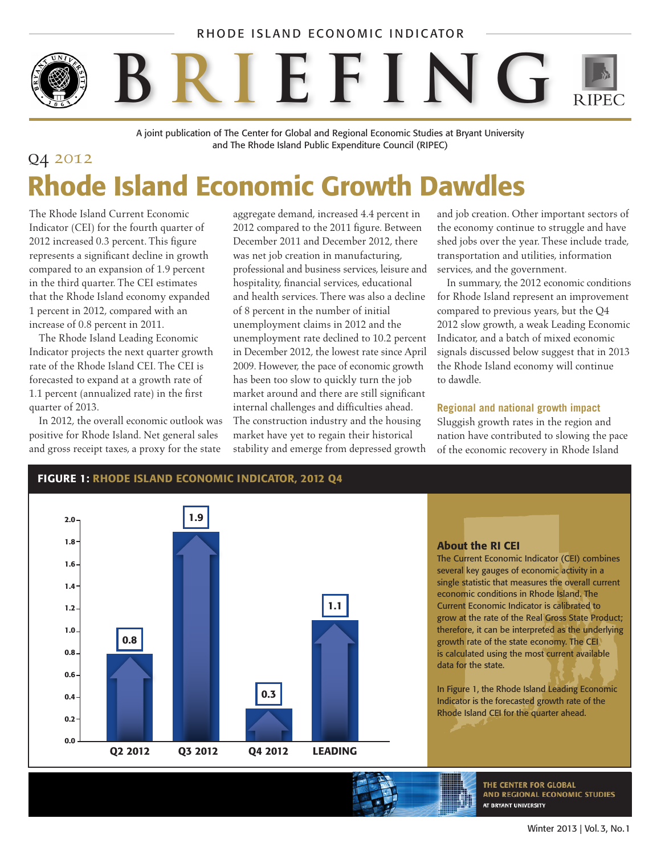### RHODE ISLAND ECONOMIC INDICATOR



A joint publication of The Center for Global and Regional Economic Studies at Bryant University and The Rhode Island Public Expenditure Council (RIPEC)

## q4 2012 Rhode Island Economic Growth Dawdles

The Rhode Island Current Economic Indicator (CEI) for the fourth quarter of 2012 increased 0.3 percent. This figure represents a significant decline in growth compared to an expansion of 1.9 percent in the third quarter. The CEI estimates that the Rhode Island economy expanded 1 percent in 2012, compared with an increase of 0.8 percent in 2011.

The Rhode Island Leading Economic Indicator projects the next quarter growth rate of the Rhode Island CEI. The CEI is forecasted to expand at a growth rate of 1.1 percent (annualized rate) in the first quarter of 2013.

In 2012, the overall economic outlook was positive for Rhode Island. Net general sales and gross receipt taxes, a proxy for the state

aggregate demand, increased 4.4 percent in 2012 compared to the 2011 figure. Between December 2011 and December 2012, there was net job creation in manufacturing, professional and business services, leisure and hospitality, financial services, educational and health services. There was also a decline of 8 percent in the number of initial unemployment claims in 2012 and the unemployment rate declined to 10.2 percent in December 2012, the lowest rate since April 2009. However, the pace of economic growth has been too slow to quickly turn the job market around and there are still significant internal challenges and difficulties ahead. The construction industry and the housing market have yet to regain their historical stability and emerge from depressed growth

and job creation. Other important sectors of the economy continue to struggle and have shed jobs over the year. These include trade, transportation and utilities, information services, and the government.

In summary, the 2012 economic conditions for Rhode Island represent an improvement compared to previous years, but the Q4 2012 slow growth, a weak Leading Economic Indicator, and a batch of mixed economic signals discussed below suggest that in 2013 the Rhode Island economy will continue to dawdle.

### **Regional and national growth impact**

Sluggish growth rates in the region and nation have contributed to slowing the pace of the economic recovery in Rhode Island



FIGURE 1: RHODE ISLAND ECONOMIC INDICATOR, 2012 Q4

### About the RI CEI

The Current Economic Indicator (CEI) combines several key gauges of economic activity in a single statistic that measures the overall current economic conditions in Rhode Island. The Current Economic Indicator is calibrated to grow at the rate of the Real Gross State Product; therefore, it can be interpreted as the underlying growth rate of the state economy. The CEI is calculated using the most current available data for the state.

In Figure 1, the Rhode Island Leading Economic Indicator is the forecasted growth rate of the Rhode Island CEI for the quarter ahead.

> THE CENTER FOR GLOBAL AND REGIONAL ECONOMIC STUDIES AT BRYANT UNIVERSITY